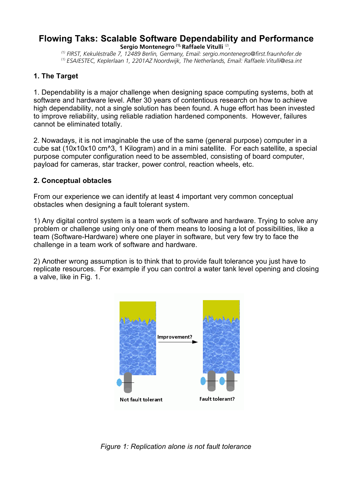#### **Flowing Taks: Scalable Software Dependability and Performance Sergio Montenegro (1), Raffaele Vitulli** (2) ,

*(1) FIRST, Kekuléstraße 7, 12489 Berlin, Germany, Email: sergio.montenegro@first.fraunhofer.de* (1) *ESA/ESTEC, Keplerlaan 1, 2201AZ Noordwijk, The Netherlands, Email: Raffaele.Vitulli@esa.int*

#### **1. The Target**

1. Dependability is a major challenge when designing space computing systems, both at software and hardware level. After 30 years of contentious research on how to achieve high dependability, not a single solution has been found. A huge effort has been invested to improve reliability, using reliable radiation hardened components. However, failures cannot be eliminated totally.

2. Nowadays, it is not imaginable the use of the same (general purpose) computer in a cube sat (10x10x10 cm^3, 1 Kilogram) and in a mini satellite. For each satellite, a special purpose computer configuration need to be assembled, consisting of board computer, payload for cameras, star tracker, power control, reaction wheels, etc.

#### **2. Conceptual obtacles**

From our experience we can identify at least 4 important very common conceptual obstacles when designing a fault tolerant system.

1) Any digital control system is a team work of software and hardware. Trying to solve any problem or challenge using only one of them means to loosing a lot of possibilities, like a team (Software-Hardware) where one player in software, but very few try to face the challenge in a team work of software and hardware.

2) Another wrong assumption is to think that to provide fault tolerance you just have to replicate resources. For example if you can control a water tank level opening and closing a valve, like in Fig. 1.



*Figure 1: Replication alone is not fault tolerance*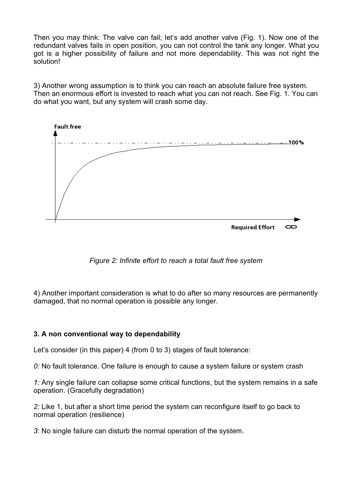Then you may think: The valve can fail; let's add another valve (Fig. 1). Now one of the redundant valves fails in open position, you can not control the tank any longer. What you got is a higher possibility of failure and not more dependability. This was not right the solution!

3) Another wrong assumption is to think you can reach an absolute failure free system. Then an enormous effort is invested to reach what you can not reach. See Fig. 1. You can do what you want, but any system will crash some day.



*Figure 2: Infinite effort to reach a total fault free system*

4) Another important consideration is what to do after so many resources are permanently damaged, that no normal operation is possible any longer.

## **3. A non conventional way to dependability**

Let's consider (in this paper) 4 (from 0 to 3) stages of fault tolerance:

*0:* No fault tolerance. One failure is enough to cause a system failure or system crash

*1:* Any single failure can collapse some critical functions, but the system remains in a safe operation. (Gracefully degradation)

*2:* Like 1, but after a short time period the system can reconfigure itself to go back to normal operation (resilience)

*3*: No single failure can disturb the normal operation of the system.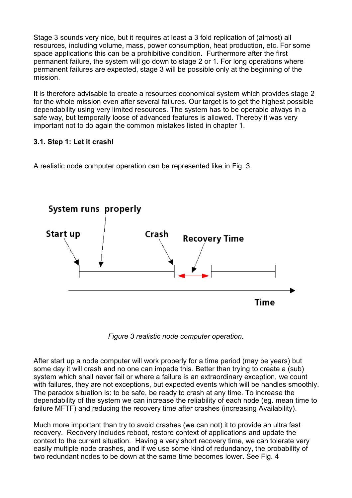Stage 3 sounds very nice, but it requires at least a 3 fold replication of (almost) all resources, including volume, mass, power consumption, heat production, etc. For some space applications this can be a prohibitive condition. Furthermore after the first permanent failure, the system will go down to stage 2 or 1. For long operations where permanent failures are expected, stage 3 will be possible only at the beginning of the mission.

It is therefore advisable to create a resources economical system which provides stage 2 for the whole mission even after several failures. Our target is to get the highest possible dependability using very limited resources. The system has to be operable always in a safe way, but temporally loose of advanced features is allowed. Thereby it was very important not to do again the common mistakes listed in chapter 1.

# **3.1. Step 1: Let it crash!**

A realistic node computer operation can be represented like in Fig. 3.



*Figure 3 realistic node computer operation.*

After start up a node computer will work properly for a time period (may be years) but some day it will crash and no one can impede this. Better than trying to create a (sub) system which shall never fail or where a failure is an extraordinary exception, we count with failures, they are not exceptions, but expected events which will be handles smoothly. The paradox situation is: to be safe, be ready to crash at any time. To increase the dependability of the system we can increase the reliability of each node (eg. mean time to failure MFTF) and reducing the recovery time after crashes (increasing Availability).

Much more important than try to avoid crashes (we can not) it to provide an ultra fast recovery. Recovery includes reboot, restore context of applications and update the context to the current situation. Having a very short recovery time, we can tolerate very easily multiple node crashes, and if we use some kind of redundancy, the probability of two redundant nodes to be down at the same time becomes lower. See Fig. 4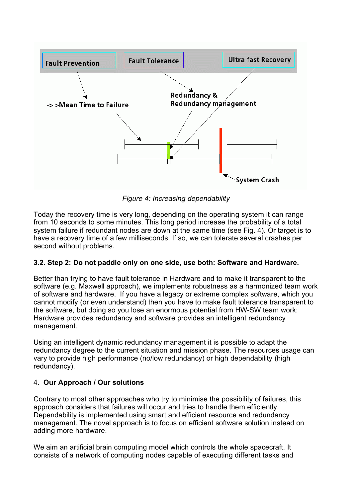

*Figure 4: Increasing dependability*

Today the recovery time is very long, depending on the operating system it can range from 10 seconds to some minutes. This long period increase the probability of a total system failure if redundant nodes are down at the same time (see Fig. 4). Or target is to have a recovery time of a few milliseconds. If so, we can tolerate several crashes per second without problems.

## **3.2. Step 2: Do not paddle only on one side, use both: Software and Hardware.**

Better than trying to have fault tolerance in Hardware and to make it transparent to the software (e.g. Maxwell approach), we implements robustness as a harmonized team work of software and hardware. If you have a legacy or extreme complex software, which you cannot modify (or even understand) then you have to make fault tolerance transparent to the software, but doing so you lose an enormous potential from HW-SW team work: Hardware provides redundancy and software provides an intelligent redundancy management.

Using an intelligent dynamic redundancy management it is possible to adapt the redundancy degree to the current situation and mission phase. The resources usage can vary to provide high performance (no/low redundancy) or high dependability (high redundancy).

## 4. **Our Approach / Our solutions**

Contrary to most other approaches who try to minimise the possibility of failures, this approach considers that failures will occur and tries to handle them efficiently. Dependability is implemented using smart and efficient resource and redundancy management. The novel approach is to focus on efficient software solution instead on adding more hardware.

We aim an artificial brain computing model which controls the whole spacecraft. It consists of a network of computing nodes capable of executing different tasks and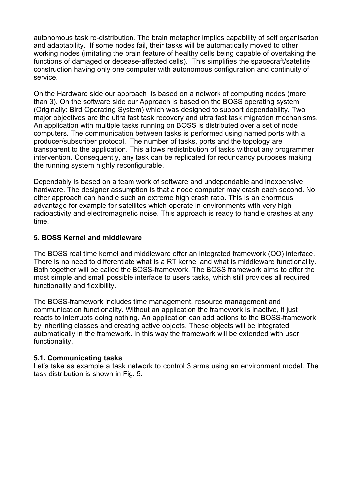autonomous task re-distribution. The brain metaphor implies capability of self organisation and adaptability. If some nodes fail, their tasks will be automatically moved to other working nodes (imitating the brain feature of healthy cells being capable of overtaking the functions of damaged or decease-affected cells). This simplifies the spacecraft/satellite construction having only one computer with autonomous configuration and continuity of service.

On the Hardware side our approach is based on a network of computing nodes (more than 3). On the software side our Approach is based on the BOSS operating system (Originally: Bird Operating System) which was designed to support dependability. Two major objectives are the ultra fast task recovery and ultra fast task migration mechanisms. An application with multiple tasks running on BOSS is distributed over a set of node computers. The communication between tasks is performed using named ports with a producer/subscriber protocol. The number of tasks, ports and the topology are transparent to the application. This allows redistribution of tasks without any programmer intervention. Consequently, any task can be replicated for redundancy purposes making the running system highly reconfigurable.

Dependably is based on a team work of software and undependable and inexpensive hardware. The designer assumption is that a node computer may crash each second. No other approach can handle such an extreme high crash ratio. This is an enormous advantage for example for satellites which operate in environments with very high radioactivity and electromagnetic noise. This approach is ready to handle crashes at any time.

## **5. BOSS Kernel and middleware**

The BOSS real time kernel and middleware offer an integrated framework (OO) interface. There is no need to differentiate what is a RT kernel and what is middleware functionality. Both together will be called the BOSS-framework. The BOSS framework aims to offer the most simple and small possible interface to users tasks, which still provides all required functionality and flexibility.

The BOSS-framework includes time management, resource management and communication functionality. Without an application the framework is inactive, it just reacts to interrupts doing nothing. An application can add actions to the BOSS-framework by inheriting classes and creating active objects. These objects will be integrated automatically in the framework. In this way the framework will be extended with user functionality.

## **5.1. Communicating tasks**

Let's take as example a task network to control 3 arms using an environment model. The task distribution is shown in Fig. 5.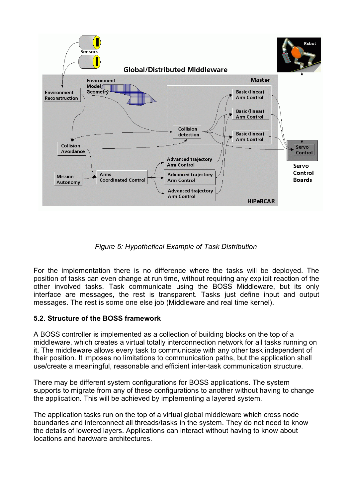

*Figure 5: Hypothetical Example of Task Distribution*

For the implementation there is no difference where the tasks will be deployed. The position of tasks can even change at run time, without requiring any explicit reaction of the other involved tasks. Task communicate using the BOSS Middleware, but its only interface are messages, the rest is transparent. Tasks just define input and output messages. The rest is some one else job (Middleware and real time kernel).

## **5.2. Structure of the BOSS framework**

A BOSS controller is implemented as a collection of building blocks on the top of a middleware, which creates a virtual totally interconnection network for all tasks running on it. The middleware allows every task to communicate with any other task independent of their position. It imposes no limitations to communication paths, but the application shall use/create a meaningful, reasonable and efficient inter-task communication structure.

There may be different system configurations for BOSS applications. The system supports to migrate from any of these configurations to another without having to change the application. This will be achieved by implementing a layered system.

The application tasks run on the top of a virtual global middleware which cross node boundaries and interconnect all threads/tasks in the system. They do not need to know the details of lowered layers. Applications can interact without having to know about locations and hardware architectures.